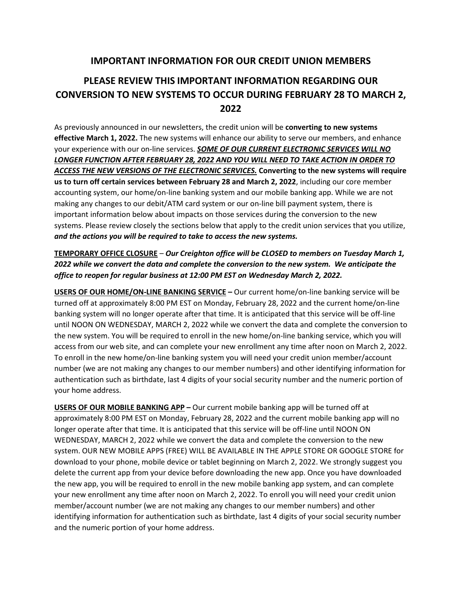## **IMPORTANT INFORMATION FOR OUR CREDIT UNION MEMBERS**

## **PLEASE REVIEW THIS IMPORTANT INFORMATION REGARDING OUR CONVERSION TO NEW SYSTEMS TO OCCUR DURING FEBRUARY 28 TO MARCH 2, 2022**

As previously announced in our newsletters, the credit union will be **converting to new systems effective March 1, 2022.** The new systems will enhance our ability to serve our members, and enhance your experience with our on-line services. *SOME OF OUR CURRENT ELECTRONIC SERVICES WILL NO LONGER FUNCTION AFTER FEBRUARY 28, 2022 AND YOU WILL NEED TO TAKE ACTION IN ORDER TO ACCESS THE NEW VERSIONS OF THE ELECTRONIC SERVICES.* **Converting to the new systems will require us to turn off certain services between February 28 and March 2, 2022**, including our core member accounting system, our home/on-line banking system and our mobile banking app. While we are not making any changes to our debit/ATM card system or our on-line bill payment system, there is important information below about impacts on those services during the conversion to the new systems. Please review closely the sections below that apply to the credit union services that you utilize, *and the actions you will be required to take to access the new systems.*

## **TEMPORARY OFFICE CLOSURE** – *Our Creighton office will be CLOSED to members on Tuesday March 1, 2022 while we convert the data and complete the conversion to the new system. We anticipate the office to reopen for regular business at 12:00 PM EST on Wednesday March 2, 2022.*

**USERS OF OUR HOME/ON-LINE BANKING SERVICE –** Our current home/on-line banking service will be turned off at approximately 8:00 PM EST on Monday, February 28, 2022 and the current home/on-line banking system will no longer operate after that time. It is anticipated that this service will be off-line until NOON ON WEDNESDAY, MARCH 2, 2022 while we convert the data and complete the conversion to the new system. You will be required to enroll in the new home/on-line banking service, which you will access from our web site, and can complete your new enrollment any time after noon on March 2, 2022. To enroll in the new home/on-line banking system you will need your credit union member/account number (we are not making any changes to our member numbers) and other identifying information for authentication such as birthdate, last 4 digits of your social security number and the numeric portion of your home address.

**USERS OF OUR MOBILE BANKING APP –** Our current mobile banking app will be turned off at approximately 8:00 PM EST on Monday, February 28, 2022 and the current mobile banking app will no longer operate after that time. It is anticipated that this service will be off-line until NOON ON WEDNESDAY, MARCH 2, 2022 while we convert the data and complete the conversion to the new system. OUR NEW MOBILE APPS (FREE) WILL BE AVAILABLE IN THE APPLE STORE OR GOOGLE STORE for download to your phone, mobile device or tablet beginning on March 2, 2022. We strongly suggest you delete the current app from your device before downloading the new app. Once you have downloaded the new app, you will be required to enroll in the new mobile banking app system, and can complete your new enrollment any time after noon on March 2, 2022. To enroll you will need your credit union member/account number (we are not making any changes to our member numbers) and other identifying information for authentication such as birthdate, last 4 digits of your social security number and the numeric portion of your home address.